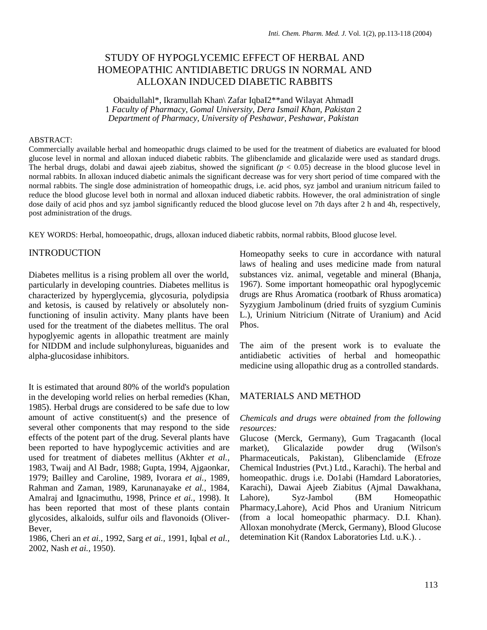# STUDY OF HYPOGLYCEMIC EFFECT OF HERBAL AND HOMEOPATHIC ANTIDIABETIC DRUGS IN NORMAL AND ALLOXAN INDUCED DIABETIC RABBITS

Obaidullahl\*, Ikramullah Khan\ Zafar IqbaI2\*\*and Wilayat AhmadI 1 *Faculty of Pharmacy, Gomal University, Dera Ismail Khan, Pakistan* 2 *Department of Pharmacy, University of Peshawar, Peshawar, Pakistan*

#### ABSTRACT:

Commercially available herbal and homeopathic drugs claimed to be used for the treatment of diabetics are evaluated for blood glucose level in normal and alloxan induced diabetic rabbits. The glibenclamide and glicalazide were used as standard drugs. The herbal drugs, dolabi and dawai ajeeb ziabitus, showed the significant  $(p < 0.05)$  decrease in the blood glucose level in normal rabbits. In alloxan induced diabetic animals the significant decrease was for very short period of time compared with the normal rabbits. The single dose administration of homeopathic drugs, i.e. acid phos, syz jambol and uranium nitricum failed to reduce the blood glucose level both in normal and alloxan induced diabetic rabbits. However, the oral administration of single dose daily of acid phos and syz jambol significantly reduced the blood glucose level on 7th days after 2 h and 4h, respectively, post administration of the drugs.

KEY WORDS: Herbal, homoeopathic, drugs, alloxan induced diabetic rabbits, normal rabbits, Blood glucose level.

#### INTRODUCTION

Diabetes mellitus is a rising problem all over the world, particularly in developing countries. Diabetes mellitus is characterized by hyperglycemia, glycosuria, polydipsia and ketosis, is caused by relatively or absolutely nonfunctioning of insulin activity. Many plants have been used for the treatment of the diabetes mellitus. The oral hypoglyemic agents in allopathic treatment are mainly for NIDDM and include sulphonylureas, biguanides and alpha-glucosidase inhibitors.

It is estimated that around 80% of the world's population in the developing world relies on herbal remedies (Khan, 1985). Herbal drugs are considered to be safe due to low amount of active constituent(s) and the presence of several other components that may respond to the side effects of the potent part of the drug. Several plants have been reported to have hypoglycemic activities and are used for treatment of diabetes mellitus (Akhter *et al.,*  1983, Twaij and Al Badr, 1988; Gupta, 1994, Ajgaonkar, 1979; Bailley and Caroline, 1989, Ivorara *et ai.,* 1989, Rahman and Zaman, 1989, Karunanayake *et al.,* 1984, Amalraj and Ignacimuthu, 1998, Prince *et ai.,* 1998). It has been reported that most of these plants contain glycosides, alkaloids, sulfur oils and flavonoids (Oliver-Bever,

1986, Cheri an *et ai.,* 1992, Sarg *et ai.,* 1991, Iqbal *et al.,*  2002, Nash *et ai.,* 1950).

Homeopathy seeks to cure in accordance with natural laws of healing and uses medicine made from natural substances viz. animal, vegetable and mineral (Bhanja, 1967). Some important homeopathic oral hypoglycemic drugs are Rhus Aromatica (rootbark of Rhuss aromatica) Syzygium Jambolinum (dried fruits of syzgium Cuminis L.), Urinium Nitricium (Nitrate of Uranium) and Acid Phos.

The aim of the present work is to evaluate the antidiabetic activities of herbal and homeopathic medicine using allopathic drug as a controlled standards.

## MATERIALS AND METHOD

#### *Chemicals and drugs were obtained from the following resources:*

Glucose (Merck, Germany), Gum Tragacanth (local market), Glicalazide powder drug (Wilson's Pharmaceuticals, Pakistan), Glibenclamide (Efroze Chemical Industries (Pvt.) Ltd., Karachi). The herbal and homeopathic. drugs i.e. Do1abi (Hamdard Laboratories, Karachi), Dawai Ajeeb Ziabitus (Ajmal Dawakhana, Lahore), Syz-Jambol (BM Homeopathic Pharmacy,Lahore), Acid Phos and Uranium Nitricum (from a local homeopathic pharmacy. D.I. Khan). Alloxan monohydrate (Merck, Germany), Blood Glucose detemination Kit (Randox Laboratories Ltd. u.K.). .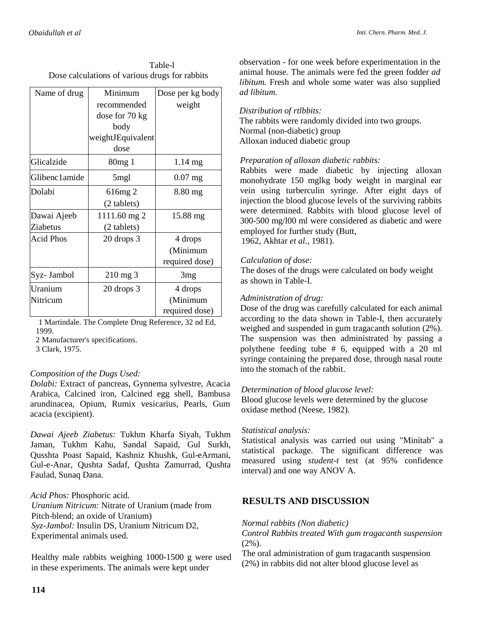|                                                | Table-1 |  |  |  |  |
|------------------------------------------------|---------|--|--|--|--|
| Dose calculations of various drugs for rabbits |         |  |  |  |  |

| Name of drug     | Minimum            |                  |  |
|------------------|--------------------|------------------|--|
|                  |                    | Dose per kg body |  |
|                  | recommended        | weight           |  |
|                  | dose for 70 kg     |                  |  |
|                  | body               |                  |  |
|                  | weightJEquivalent  |                  |  |
|                  | dose               |                  |  |
| Glicalzide       | 80 <sub>mg</sub> 1 | 1.14 mg          |  |
| Glibenc1amide    | 5 <sub>mgl</sub>   | $0.07$ mg        |  |
| Dolabi           | $616mg$ 2          | 8.80 mg          |  |
|                  | (2 tablets)        |                  |  |
| Dawai Ajeeb      | 1111.60 mg 2       | 15.88 mg         |  |
| Ziabetus         | (2 tablets)        |                  |  |
| <b>Acid Phos</b> | 20 drops 3         | 4 drops          |  |
|                  |                    | (Minimum         |  |
|                  |                    | required dose)   |  |
| Syz- Jambol      | $210 \text{ mg}$ 3 | 3 <sub>mg</sub>  |  |
| Uranium          | $20$ drops $3$     | 4 drops          |  |
| Nitricum         |                    | (Minimum         |  |
|                  |                    | required dose)   |  |

1 Martindale. The Complete Drug Reference, 32 nd Ed, 1999.

2 Manufacturer's specifications.

3 Clark, 1975.

## *Composition of the Dugs Used:*

*Dolabi:* Extract of pancreas, Gynnema sylvestre, Acacia Arabica, Calcined iron, Calcined egg shell, Bambusa arundinacea, Opium, Rumix vesicarius, Pearls, Gum acacia (excipient).

*Dawai Ajeeb Ziabetus:* Tukhm Kharfa Siyah, Tukhm Jaman, Tukhm Kahu, Sandal Sapaid, Gul Surkh, Qusshta Poast Sapaid, Kashniz Khushk, Gul-eArmani, Gul-e-Anar, Qushta Sadaf, Qushta Zamurrad, Qushta Faulad, Sunaq Dana.

*Acid Phos:* Phosphoric acid. *Uranium Nitricum:* Nitrate of Uranium (made from Pitch-blend; an oxide of Uranium) *Syz-Jambol:* Insulin DS, Uranium Nitricum D2, Experimental animals used.

Healthy male rabbits weighing 1000-1500 g were used in these experiments. The animals were kept under

observation - for one week before experimentation in the animal house. The animals were fed the green fodder *ad libitum.* Fresh and whole some water was also supplied *ad libitum.* 

## *Distribution of rtlbbits:*

The rabbits were randomly divided into two groups. Normal (non-diabetic) group Alloxan induced diabetic group

## *Preparation of alloxan diabetic rabbits:*

Rabbits were made diabetic by injecting alloxan monohydrate 150 mglkg body weight in marginal ear vein using turberculin syringe. After eight days of injection the blood glucose levels of the surviving rabbits were determined. Rabbits with blood glucose level of 300-500 mg/l00 ml were considered as diabetic and were employed for further study (Butt,

1962, Akhtar *et al.,* 1981).

# *Calculation of dose:*

The doses of the drugs were calculated on body weight as shown in Table-I.

## *Administration of drug:*

Dose of the drug was carefully calculated for each animal according to the data shown in Table-I, then accurately weighed and suspended in gum tragacanth solution (2%). The suspension was then administrated by passing a polythene feeding tube # 6, equipped with a 20 ml syringe containing the prepared dose, through nasal route into the stomach of the rabbit.

# *Determination of blood glucose level:*

Blood glucose levels were determined by the glucose oxidase method (Neese, 1982).

## *Statistical analysis:*

Statistical analysis was carried out using "Minitab" a statistical package. The significant difference was measured using *student-t* test (at 95% confidence interval) and one way ANOV A.

# **RESULTS AND DISCUSSION**

*Normal rabbits (Non diabetic)*

*Control Rabbits treated With gum tragacanth suspension*   $(2\%)$ .

The oral administration of gum tragacanth suspension (2%) in rabbits did not alter blood glucose level as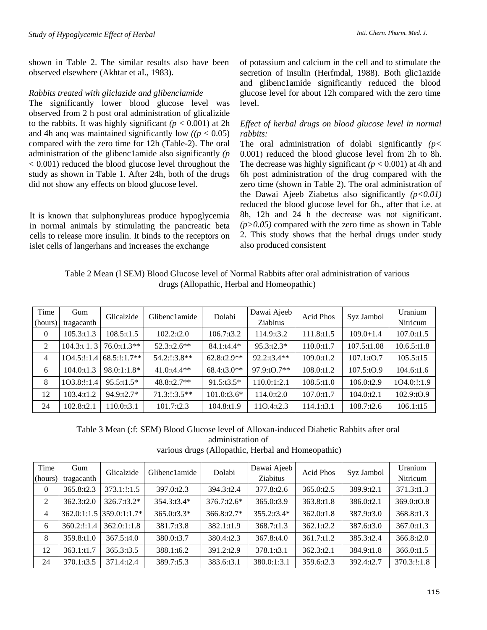shown in Table 2. The similar results also have been observed elsewhere (Akhtar et aI., 1983).

#### *Rabbits treated with gliclazide and glibenclamide*

The significantly lower blood glucose level was observed from 2 h post oral administration of glicalizide to the rabbits. It was highly significant  $(p < 0.001)$  at 2h and 4h ang was maintained significantly low  $((p < 0.05))$ compared with the zero time for 12h (Table-2). The oral administration of the glibenc1amide also significantly *(p*  < 0.001) reduced the blood glucose level throughout the study as shown in Table 1. After 24h, both of the drugs did not show any effects on blood glucose level.

It is known that sulphonylureas produce hypoglycemia in normal animals by stimulating the pancreatic beta cells to release more insulin. It binds to the receptors on islet cells of langerhans and increases the exchange

of potassium and calcium in the cell and to stimulate the secretion of insulin (Herfmdal, 1988). Both glic1azide and glibenc1amide significantly reduced the blood glucose level for about 12h compared with the zero time level.

#### *Effect of herbal drugs on blood glucose level in normal rabbits:*

The oral administration of dolabi significantly  $(p <$ 0.001) reduced the blood glucose level from 2h to 8h. The decrease was highly significant  $(p < 0.001)$  at 4h and 6h post administration of the drug compared with the zero time (shown in Table 2). The oral administration of the Dawai Ajeeb Ziabetus also significantly  $(p<0.01)$ reduced the blood glucose level for 6h., after that i.e. at 8h, 12h and 24 h the decrease was not significant.  $(p>0.05)$  compared with the zero time as shown in Table 2. This study shows that the herbal drugs under study also produced consistent

Table 2 Mean (I SEM) Blood Glucose level of Normal Rabbits after oral administration of various drugs (Allopathic, Herbal and Homeopathic)

| Time     | Gum            | Glicalzide      | Glibenc1amide | Dolabi        | Dawai Ajeeb          | Acid Phos  | Syz Jambol    | Uranium           |
|----------|----------------|-----------------|---------------|---------------|----------------------|------------|---------------|-------------------|
| (hours)  | tragacanth     |                 |               |               | Ziabitus             |            |               | Nitricum          |
| $\theta$ | 105.3:11.3     | 108.5:11.5      | 102.2:12.0    | 106.7:13.2    | 114.9:t3.2           | 111.8:t1.5 | $109.0 + 1.4$ | 107.0:t1.5        |
| 2        | $104.3$ :t 1.3 | $76.0:11.3**$   | $52.3:12.6**$ | $84.1:14.4*$  | $95.3:12.3*$         | 110.0:t1.7 | 107.5:t1.08   | $10.6.5:$ t $1.8$ |
| 4        | $104.5$ :!:1.4 | $68.5$ :1:1.7** | 54.2:1:3.8**  | $62.8:12.9**$ | $92.2:13.4**$        | 109.0:t1.2 | 107.1:10.7    | 105.5:t15         |
| 6        | 104.0:11.3     | $98.0:1:1.8*$   | $41.0:14.4**$ | $68.4:13.0**$ | $97.9 \times 10.7**$ | 108.0:t1.2 | 107.5:10.9    | 104.6:t1.6        |
| 8        | 103.8:!:1.4    | $95.5:11.5*$    | $48.8:12.7**$ | $91.5:13.5*$  | 110.0:1:2.1          | 108.5:11.0 | 106.0:t2.9    | 104.0:1:1.9       |
| 12       | 103.4:t1.2     | 94.9:t2.7*      | $71.3::3.5**$ | 101.0:t3.6*   | 114.0:t2.0           | 107.0:t1.7 | 104.0: t2.1   | 102.9:tO.9        |
| 24       | 102.8: t2.1    | 110.0: t3.1     | 101.7:12.3    | 104.8:t1.9    | 110.4:12.3           | 114.1:t3.1 | 108.7:12.6    | 106.1:t15         |

Table 3 Mean (:f: SEM) Blood Glucose level of Alloxan-induced Diabetic Rabbits after oral administration of various drugs (Allopathic, Herbal and Homeopathic)

| Time<br>(hours) | Gum<br>tragacanth | Glicalzide               | Glibenc1amide | Dolabi        | Dawai Ajeeb<br>Ziabitus | <b>Acid Phos</b> | Syz Jambol | Uranium<br>Nitricum |
|-----------------|-------------------|--------------------------|---------------|---------------|-------------------------|------------------|------------|---------------------|
| $\theta$        | 365.8:t2.3        | $373.1$ :!:1.5           | 397.0:t2.3    | 394.3:t2.4    | 377.8:t2.6              | 365.0:t2.5       | 389.9:t2.1 | 371.3:t1.3          |
| 2               | 362.3:12.0        | 326.7:t3.2*              | 354.3:t3.4*   | $376.7:12.6*$ | 365.0:t3.9              | 363.8:t1.8       | 386.0:t2.1 | 369.0:tO.8          |
| 4               |                   | 362.0:1:1.5 359.0:1:1.7* | 365.0:t3.3*   | $366.8:12.7*$ | 355.2:t3.4*             | 362.0:t1.8       | 387.9:t3.0 | 368.8:t1.3          |
| 6               | 360.2:1:1.4       | 362.0:1:1.8              | 381.7:t3.8    | 382.1:t1.9    | 368.7:11.3              | 362.1:12.2       | 387.6:t3.0 | 367.0:t1.3          |
| 8               | 359.8:t1.0        | 367.5:14.0               | 380.0:t3.7    | 380.4:t2.3    | 367.8:t4.0              | 361.7:t1.2       | 385.3:t2.4 | 366.8:12.0          |
| 12              | 363.1:t1.7        | 365.3:t3.5               | 388.1:t6.2    | 391.2:t2.9    | 378.1:t3.1              | 362.3:t2.1       | 384.9:t1.8 | 366.0:t1.5          |
| 24              | 370.1:t3.5        | 371.4:t2.4               | 389.7:t5.3    | 383.6:t3.1    | 380.0:1:3.1             | 359.6:t2.3       | 392.4:t2.7 | 370.3:1:1.8         |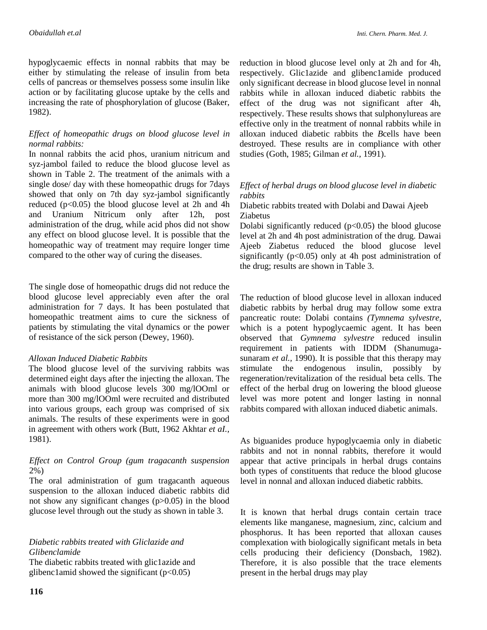hypoglycaemic effects in nonnal rabbits that may be either by stimulating the release of insulin from beta cells of pancreas or themselves possess some insulin like action or by facilitating glucose uptake by the cells and increasing the rate of phosphorylation of glucose (Baker, 1982).

## *Effect of homeopathic drugs on blood glucose level in normal rabbits:*

In nonnal rabbits the acid phos, uranium nitricum and syz-jambol failed to reduce the blood glucose level as shown in Table 2. The treatment of the animals with a single dose/ day with these homeopathic drugs for 7days showed that only on 7th day syz-jambol significantly reduced  $(p<0.05)$  the blood glucose level at 2h and 4h and Uranium Nitricum only after 12h, post administration of the drug, while acid phos did not show any effect on blood glucose level. It is possible that the homeopathic way of treatment may require longer time compared to the other way of curing the diseases.

The single dose of homeopathic drugs did not reduce the blood glucose level appreciably even after the oral administration for 7 days. It has been postulated that homeopathic treatment aims to cure the sickness of patients by stimulating the vital dynamics or the power of resistance of the sick person (Dewey, 1960).

#### *Alloxan Induced Diabetic Rabbits*

The blood glucose level of the surviving rabbits was determined eight days after the injecting the alloxan. The animals with blood glucose levels 300 mg/lOOml or more than 300 mg/lOOml were recruited and distributed into various groups, each group was comprised of six animals. The results of these experiments were in good in agreement with others work (Butt, 1962 Akhtar *et aI.,*  1981).

## *Effect on Control Group (gum tragacanth suspension*  2%)

The oral administration of gum tragacanth aqueous suspension to the alloxan induced diabetic rabbits did not show any significant changes (p>0.05) in the blood glucose level through out the study as shown in table 3.

## *Diabetic rabbits treated with Gliclazide and Glibenclamide*

The diabetic rabbits treated with glic1azide and glibenc1amid showed the significant  $(p<0.05)$ 

reduction in blood glucose level only at 2h and for 4h, respectively. Glic1azide and glibenc1amide produced only significant decrease in blood glucose level in nonnal rabbits while in alloxan induced diabetic rabbits the effect of the drug was not significant after 4h, respectively. These results shows that sulphonylureas are effective only in the treatment of nonnal rabbits while in alloxan induced diabetic rabbits the *B*cells have been destroyed. These results are in compliance with other studies (Goth, 1985; Gilman *et al.,* 1991).

## *Effect of herbal drugs on blood glucose level in diabetic rabbits*

Diabetic rabbits treated with Dolabi and Dawai Ajeeb Ziabetus

Dolabi significantly reduced  $(p<0.05)$  the blood glucose level at 2h and 4h post administration of the drug. Dawai Ajeeb Ziabetus reduced the blood glucose level significantly ( $p<0.05$ ) only at 4h post administration of the drug; results are shown in Table 3.

The reduction of blood glucose level in alloxan induced diabetic rabbits by herbal drug may follow some extra pancreatic route: Dolabi contains *(Tymnema sylvestre,*  which is a potent hypoglycaemic agent. It has been observed that *Gymnema sylvestre* reduced insulin requirement in patients with IDDM (Shanumugasunaram *et al.*, 1990). It is possible that this therapy may stimulate the endogenous insulin, possibly by regeneration/revitalization of the residual beta cells. The effect of the herbal drug on lowering the blood glueose level was more potent and longer lasting in nonnal rabbits compared with alloxan induced diabetic animals.

As biguanides produce hypoglycaemia only in diabetic rabbits and not in nonnal rabbits, therefore it would appear that active principals in herbal drugs contains both types of constituents that reduce the blood glucose level in nonnal and alloxan induced diabetic rabbits.

It is known that herbal drugs contain certain trace elements like manganese, magnesium, zinc, calcium and phosphorus. It has been reported that alloxan causes complexation with biologically significant metals in beta cells producing their deficiency (Donsbach, 1982). Therefore, it is also possible that the trace elements present in the herbal drugs may play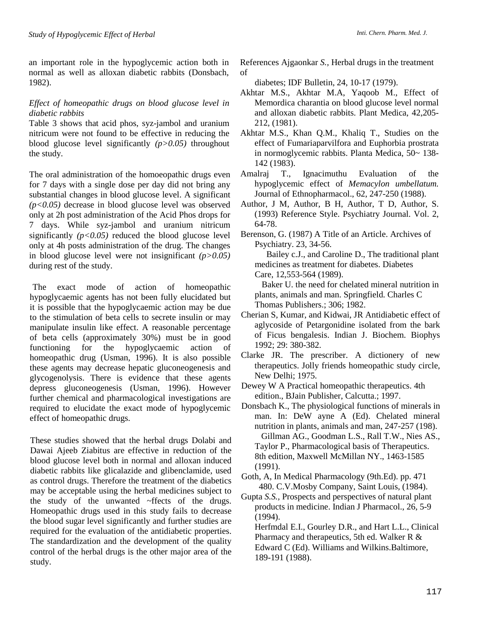an important role in the hypoglycemic action both in normal as well as alloxan diabetic rabbits (Donsbach, 1982).

### *Effect of homeopathic drugs on blood glucose level in diabetic rabbits*

Table 3 shows that acid phos, syz-jambol and uranium nitricum were not found to be effective in reducing the blood glucose level significantly *(p>0.05)* throughout the study.

The oral administration of the homoeopathic drugs even for 7 days with a single dose per day did not bring any substantial changes in blood glucose level. A significant *(p<0.05)* decrease in blood glucose level was observed only at 2h post administration of the Acid Phos drops for 7 days. While syz-jambol and uranium nitricum significantly  $(p<0.05)$  reduced the blood glucose level only at 4h posts administration of the drug. The changes in blood glucose level were not insignificant *(p>0.05)*  during rest of the study.

The exact mode of action of homeopathic hypoglycaemic agents has not been fully elucidated but it is possible that the hypoglycaemic action may be due to the stimulation of beta cells to secrete insulin or may manipulate insulin like effect. A reasonable percentage of beta cells (approximately 30%) must be in good functioning for the hypoglycaemic action of homeopathic drug (Usman, 1996). It is also possible these agents may decrease hepatic gluconeogenesis and glycogenolysis. There is evidence that these agents depress gluconeogenesis (Usman, 1996). However further chemical and pharmacological investigations are required to elucidate the exact mode of hypoglycemic effect of homeopathic drugs.

These studies showed that the herbal drugs Dolabi and Dawai Ajeeb Ziabitus are effective in reduction of the blood glucose level both in normal and alloxan induced diabetic rabbits like glicalazide and glibenclamide, used as control drugs. Therefore the treatment of the diabetics may be acceptable using the herbal medicines subject to the study of the unwanted ~ffects of the drugs. Homeopathic drugs used in this study fails to decrease the blood sugar level significantly and further studies are required for the evaluation of the antidiabetic properties. The standardization and the development of the quality control of the herbal drugs is the other major area of the study.

References Ajgaonkar *S.,* Herbal drugs in the treatment of

diabetes; IDF Bulletin, 24, 10-17 (1979).

- Akhtar M.S., Akhtar M.A, Yaqoob M., Effect of Memordica charantia on blood glucose level normal and alloxan diabetic rabbits. Plant Medica, 42,205- 212, (1981).
- Akhtar M.S., Khan Q.M., Khaliq T., Studies on the effect of Fumariaparvilfora and Euphorbia prostrata in normoglycemic rabbits. Planta Medica, 50~ 138- 142 (1983).
- Amalraj T., Ignacimuthu Evaluation of the hypoglycemic effect of *Memacylon umbellatum.*  Journal of Ethnopharmacol., 62, 247-250 (1988).
- Author, J M, Author, B H, Author, T D, Author, S. (1993) Reference Style. Psychiatry Journal. Vol. 2, 64-78.
- Berenson, G. (1987) A Title of an Article. Archives of Psychiatry. 23, 34-56.

 Bailey c.J., and Caroline D., The traditional plant medicines as treatment for diabetes. Diabetes Care, 12,553-564 (1989).

 Baker U. the need for chelated mineral nutrition in plants, animals and man. Springfield. Charles C Thomas Publishers.; 306; 1982.

- Cherian S, Kumar, and Kidwai, JR Antidiabetic effect of aglycoside of Petargonidine isolated from the bark of Ficus bengalesis. Indian J. Biochem. Biophys 1992; 29: 380-382.
- Clarke JR. The prescriber. A dictionery of new therapeutics. Jolly friends homeopathic study circle, New Delhi; 1975.
- Dewey W A Practical homeopathic therapeutics. 4th edition., BJain Publisher, Calcutta.; 1997.
- Donsbach K., The physiological functions of minerals in man. In: DeW ayne A (Ed). Chelated mineral nutrition in plants, animals and man, 247-257 (198). Gillman AG., Goodman L.S., Rall T.W., Nies AS., Taylor P., Pharmacological basis of Therapeutics. 8th edition, Maxwell McMillan NY., 1463-1585 (1991).
- Goth, A, In Medical Pharmacology (9th.Ed). pp. 471 480. C.V.Mosby Company, Saint Louis, (1984).
- Gupta *S.S.,* Prospects and perspectives of natural plant products in medicine. Indian J Pharmacol., 26, 5-9 (1994).
	- Herfmdal E.I., Gourley D.R., and Hart L.L., Clinical Pharmacy and therapeutics, 5th ed. Walker R & Edward C (Ed). Williams and Wilkins.Baltimore, 189-191 (1988).